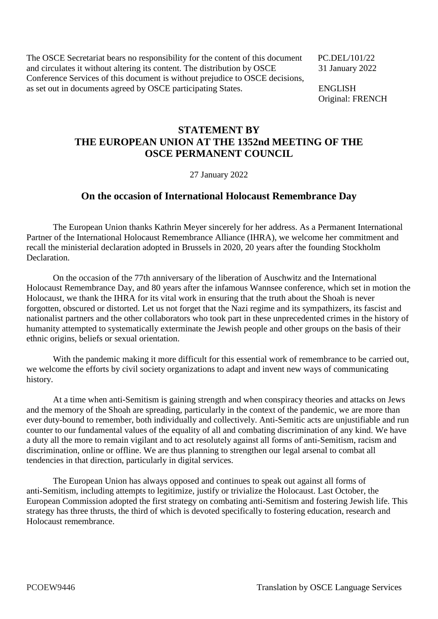The OSCE Secretariat bears no responsibility for the content of this document PC.DEL/101/22 and circulates it without altering its content. The distribution by OSCE 31 January 2022 Conference Services of this document is without prejudice to OSCE decisions, as set out in documents agreed by OSCE participating States. ENGLISH

Original: FRENCH

## **STATEMENT BY THE EUROPEAN UNION AT THE 1352nd MEETING OF THE OSCE PERMANENT COUNCIL**

27 January 2022

## **On the occasion of International Holocaust Remembrance Day**

The European Union thanks Kathrin Meyer sincerely for her address. As a Permanent International Partner of the International Holocaust Remembrance Alliance (IHRA), we welcome her commitment and recall the ministerial declaration adopted in Brussels in 2020, 20 years after the founding Stockholm Declaration.

On the occasion of the 77th anniversary of the liberation of Auschwitz and the International Holocaust Remembrance Day, and 80 years after the infamous Wannsee conference, which set in motion the Holocaust, we thank the IHRA for its vital work in ensuring that the truth about the Shoah is never forgotten, obscured or distorted. Let us not forget that the Nazi regime and its sympathizers, its fascist and nationalist partners and the other collaborators who took part in these unprecedented crimes in the history of humanity attempted to systematically exterminate the Jewish people and other groups on the basis of their ethnic origins, beliefs or sexual orientation.

With the pandemic making it more difficult for this essential work of remembrance to be carried out, we welcome the efforts by civil society organizations to adapt and invent new ways of communicating history.

At a time when anti-Semitism is gaining strength and when conspiracy theories and attacks on Jews and the memory of the Shoah are spreading, particularly in the context of the pandemic, we are more than ever duty-bound to remember, both individually and collectively. Anti-Semitic acts are unjustifiable and run counter to our fundamental values of the equality of all and combating discrimination of any kind. We have a duty all the more to remain vigilant and to act resolutely against all forms of anti‑Semitism, racism and discrimination, online or offline. We are thus planning to strengthen our legal arsenal to combat all tendencies in that direction, particularly in digital services.

The European Union has always opposed and continues to speak out against all forms of anti‑Semitism, including attempts to legitimize, justify or trivialize the Holocaust. Last October, the European Commission adopted the first strategy on combating anti-Semitism and fostering Jewish life. This strategy has three thrusts, the third of which is devoted specifically to fostering education, research and Holocaust remembrance.